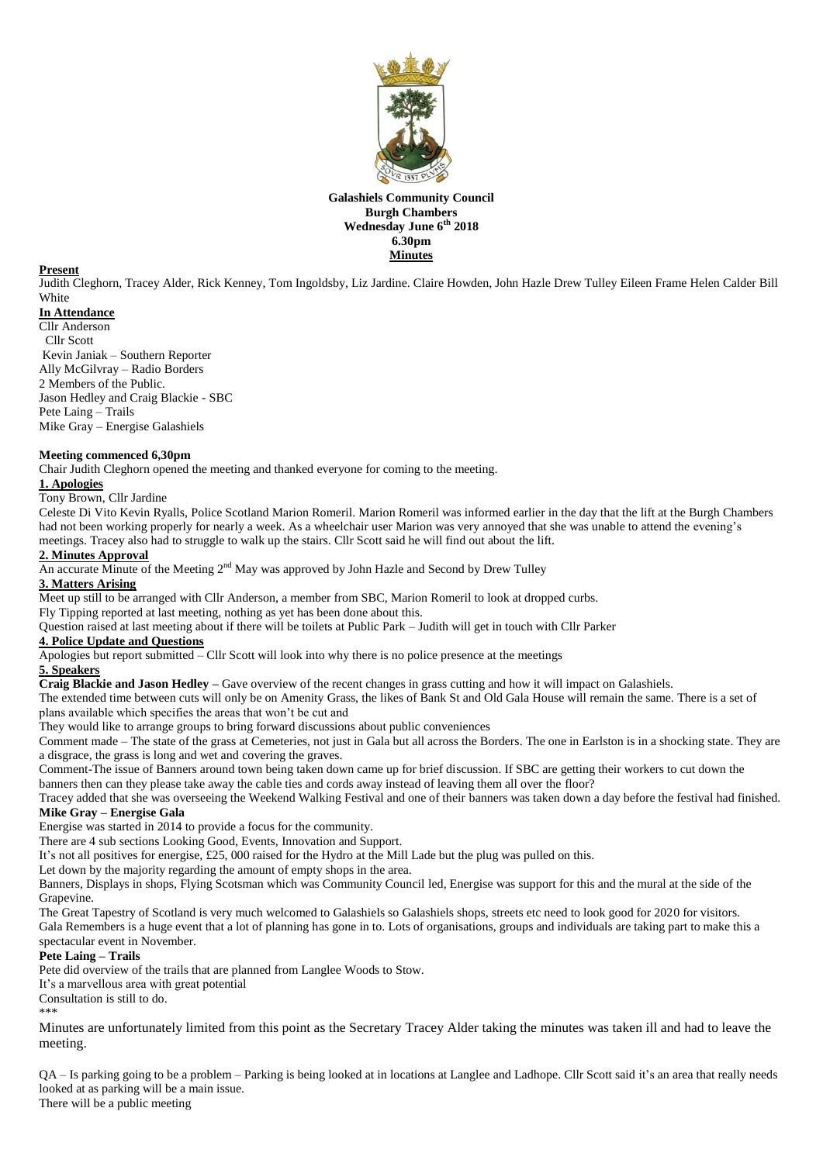

## **Galashiels Community Council Burgh Chambers Wednesday June 6 th 2018 6.30pm Minutes**

## **Present**

Judith Cleghorn, Tracey Alder, Rick Kenney, Tom Ingoldsby, Liz Jardine. Claire Howden, John Hazle Drew Tulley Eileen Frame Helen Calder Bill **White** 

# **In Attendance**

Cllr Anderson Cllr Scott Kevin Janiak – Southern Reporter Ally McGilvray – Radio Borders 2 Members of the Public. Jason Hedley and Craig Blackie - SBC Pete Laing – Trails Mike Gray – Energise Galashiels

## **Meeting commenced 6,30pm**

Chair Judith Cleghorn opened the meeting and thanked everyone for coming to the meeting.

#### **1. Apologies**

Tony Brown, Cllr Jardine

Celeste Di Vito Kevin Ryalls, Police Scotland Marion Romeril. Marion Romeril was informed earlier in the day that the lift at the Burgh Chambers had not been working properly for nearly a week. As a wheelchair user Marion was very annoyed that she was unable to attend the evening's meetings. Tracey also had to struggle to walk up the stairs. Cllr Scott said he will find out about the lift.

#### **2. Minutes Approval**

An accurate Minute of the Meeting 2<sup>nd</sup> May was approved by John Hazle and Second by Drew Tulley

## **3. Matters Arising**

Meet up still to be arranged with Cllr Anderson, a member from SBC, Marion Romeril to look at dropped curbs. Fly Tipping reported at last meeting, nothing as yet has been done about this.

Question raised at last meeting about if there will be toilets at Public Park – Judith will get in touch with Cllr Parker

# **4. Police Update and Questions**

Apologies but report submitted  $=$  Cllr Scott will look into why there is no police presence at the meetings

## **5. Speakers**

**Craig Blackie and Jason Hedley –** Gave overview of the recent changes in grass cutting and how it will impact on Galashiels.

The extended time between cuts will only be on Amenity Grass, the likes of Bank St and Old Gala House will remain the same. There is a set of plans available which specifies the areas that won't be cut and

They would like to arrange groups to bring forward discussions about public conveniences

Comment made – The state of the grass at Cemeteries, not just in Gala but all across the Borders. The one in Earlston is in a shocking state. They are a disgrace, the grass is long and wet and covering the graves.

Comment-The issue of Banners around town being taken down came up for brief discussion. If SBC are getting their workers to cut down the banners then can they please take away the cable ties and cords away instead of leaving them all over the floor?

Tracey added that she was overseeing the Weekend Walking Festival and one of their banners was taken down a day before the festival had finished. **Mike Gray – Energise Gala**

Energise was started in 2014 to provide a focus for the community.

There are 4 sub sections Looking Good, Events, Innovation and Support.

It's not all positives for energise, £25, 000 raised for the Hydro at the Mill Lade but the plug was pulled on this.

Let down by the majority regarding the amount of empty shops in the area.

Banners, Displays in shops, Flying Scotsman which was Community Council led, Energise was support for this and the mural at the side of the Grapevine.

The Great Tapestry of Scotland is very much welcomed to Galashiels so Galashiels shops, streets etc need to look good for 2020 for visitors.

Gala Remembers is a huge event that a lot of planning has gone in to. Lots of organisations, groups and individuals are taking part to make this a spectacular event in November.

## **Pete Laing – Trails**

Pete did overview of the trails that are planned from Langlee Woods to Stow.

It's a marvellous area with great potential

Consultation is still to do.

\*\*\*

Minutes are unfortunately limited from this point as the Secretary Tracey Alder taking the minutes was taken ill and had to leave the meeting.

QA – Is parking going to be a problem – Parking is being looked at in locations at Langlee and Ladhope. Cllr Scott said it's an area that really needs looked at as parking will be a main issue.

There will be a public meeting